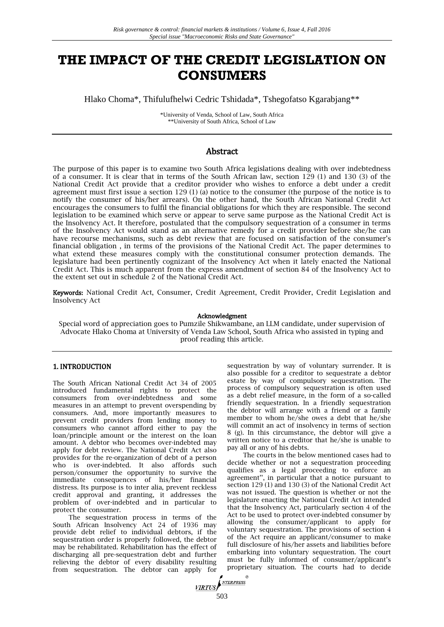# **THE IMPACT OF THE CREDIT LEGISLATION ON CONSUMERS**

Hlako Choma\*, Thifulufhelwi Cedric Tshidada\*, Tshegofatso Kgarabjang\*\*

\*University of Venda, School of Law, South Africa \*\*University of South Africa, School of Law

## Abstract

The purpose of this paper is to examine two South Africa legislations dealing with over indebtedness of a consumer. It is clear that in terms of the South African law, section 129 (1) and 130 (3) of the National Credit Act provide that a creditor provider who wishes to enforce a debt under a credit agreement must first issue a section 129 (1) (a) notice to the consumer (the purpose of the notice is to notify the consumer of his/her arrears). On the other hand, the South African National Credit Act encourages the consumers to fulfil the financial obligations for which they are responsible. The second legislation to be examined which serve or appear to serve same purpose as the National Credit Act is the Insolvency Act. It therefore, postulated that the compulsory sequestration of a consumer in terms of the Insolvency Act would stand as an alternative remedy for a credit provider before she/he can have recourse mechanisms, such as debt review that are focused on satisfaction of the consumer's financial obligation , in terms of the provisions of the National Credit Act. The paper determines to what extend these measures comply with the constitutional consumer protection demands. The legislature had been pertinently cognizant of the Insolvency Act when it lately enacted the National Credit Act. This is much apparent from the express amendment of section 84 of the Insolvency Act to the extent set out in schedule 2 of the National Credit Act.

Keywords: National Credit Act, Consumer, Credit Agreement, Credit Provider, Credit Legislation and Insolvency Act

#### Acknowledgment

Special word of appreciation goes to Pumzile Shikwambane, an LLM candidate, under supervision of Advocate Hlako Choma at University of Venda Law School, South Africa who assisted in typing and proof reading this article.

## 1. INTRODUCTION

The South African National Credit Act 34 of 2005 introduced fundamental rights to protect the consumers from over-indebtedness and some measures in an attempt to prevent overspending by consumers. And, more importantly measures to prevent credit providers from lending money to consumers who cannot afford either to pay the loan/principle amount or the interest on the loan amount. A debtor who becomes over-indebted may apply for debt review. The National Credit Act also provides for the re-organization of debt of a person who is over-indebted. It also affords such person/consumer the opportunity to survive the immediate consequences of his/her financial distress. Its purpose is to inter alia, prevent reckless credit approval and granting, it addresses the problem of over-indebted and in particular to protect the consumer.

The sequestration process in terms of the South African Insolvency Act 24 of 1936 may provide debt relief to individual debtors, if the sequestration order is properly followed, the debtor may be rehabilitated. Rehabilitation has the effect of discharging all pre-sequestration debt and further relieving the debtor of every disability resulting from sequestration. The debtor can apply for

sequestration by way of voluntary surrender. It is also possible for a creditor to sequestrate a debtor estate by way of compulsory sequestration. The process of compulsory sequestration is often used as a debt relief measure, in the form of a so-called friendly sequestration. In a friendly sequestration the debtor will arrange with a friend or a family member to whom he/she owes a debt that he/she will commit an act of insolvency in terms of section 8 (g). In this circumstance, the debtor will give a written notice to a creditor that he/she is unable to pay all or any of his debts.

The courts in the below mentioned cases had to decide whether or not a sequestration proceeding qualifies as a legal proceeding to enforce an agreement'', in particular that a notice pursuant to section 129 (1) and 130 (3) of the National Credit Act was not issued. The question is whether or not the legislature enacting the National Credit Act intended that the Insolvency Act, particularly section 4 of the Act to be used to protect over-indebted consumer by allowing the consumer/applicant to apply for voluntary sequestration. The provisions of section 4 of the Act require an applicant/consumer to make full disclosure of his/her assets and liabilities before embarking into voluntary sequestration. The court must be fully informed of consumer/applicant's proprietary situation. The courts had to decide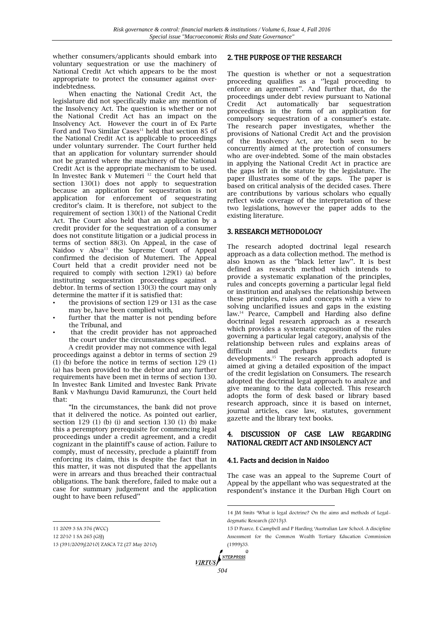whether consumers/applicants should embark into voluntary sequestration or use the machinery of National Credit Act which appears to be the most appropriate to protect the consumer against overindebtedness.

When enacting the National Credit Act, the legislature did not specifically make any mention of the Insolvency Act. The question is whether or not the National Credit Act has an impact on the Insolvency Act. However the court in of Ex Parte Ford and Two Similar Cases<sup>11</sup> held that section 85 of the National Credit Act is applicable to proceedings under voluntary surrender. The Court further held that an application for voluntary surrender should not be granted where the machinery of the National Credit Act is the appropriate mechanism to be used. In Investec Bank v Mutemeri<sup>12</sup> the Court held that section 130(1) does not apply to sequestration because an application for sequestration is not application for enforcement of sequestrating creditor's claim. It is therefore, not subject to the requirement of section 130(1) of the National Credit Act. The Court also held that an application by a credit provider for the sequestration of a consumer does not constitute litigation or a judicial process in terms of section 88(3). On Appeal, in the case of Naidoo v Absa<sup>13</sup> the Supreme Court of Appeal confirmed the decision of Mutemeri. The Appeal Court held that a credit provider need not be required to comply with section 129(1) (a) before instituting sequestration proceedings against a debtor. In terms of section 130(3) the court may only determine the matter if it is satisfied that:

- the provisions of section 129 or 131 as the case may be, have been complied with,
- further that the matter is not pending before the Tribunal, and
- that the credit provider has not approached the court under the circumstances specified.

A credit provider may not commence with legal proceedings against a debtor in terms of section 29 (1) (b) before the notice in terms of section 129 (1) (a) has been provided to the debtor and any further requirements have been met in terms of section 130. In Investec Bank Limited and Investec Bank Private Bank v Mavhungu David Ramurunzi, the Court held that:

"In the circumstances, the bank did not prove that it delivered the notice. As pointed out earlier, section  $129$  (1) (b) (i) and section  $130$  (1) (b) make this a peremptory prerequisite for commencing legal proceedings under a credit agreement, and a credit cognizant in the plaintiff's cause of action. Failure to comply, must of necessity, preclude a plaintiff from enforcing its claim, this is despite the fact that in this matter, it was not disputed that the appellants were in arrears and thus breached their contractual obligations. The bank therefore, failed to make out a case for summary judgement and the application ought to have been refused''

 $\overline{\phantom{a}}$ 

#### 2. THE PURPOSE OF THE RESEARCH

The question is whether or not a sequestration proceeding qualifies as a ''legal proceeding to enforce an agreement''. And further that, do the proceedings under debt review pursuant to National Credit Act automatically bar sequestration proceedings in the form of an application for compulsory sequestration of a consumer's estate. The research paper investigates, whether the provisions of National Credit Act and the provision of the Insolvency Act, are both seen to be concurrently aimed at the protection of consumers who are over-indebted. Some of the main obstacles in applying the National Credit Act in practice are the gaps left in the statute by the legislature. The paper illustrates some of the gaps. The paper is based on critical analysis of the decided cases. There are contributions by various scholars who equally reflect wide coverage of the interpretation of these two legislations, however the paper adds to the existing literature.

### 3. RESEARCH METHODOLOGY

The research adopted doctrinal legal research approach as a data collection method. The method is also known as the ''black letter law''. It is best defined as research method which intends to provide a systematic explanation of the principles, rules and concepts governing a particular legal field or institution and analyses the relationship between these principles, rules and concepts with a view to solving unclarified issues and gaps in the existing law.<sup>14</sup> Pearce, Campbell and Harding also define doctrinal legal research approach as a research which provides a systematic exposition of the rules governing a particular legal category, analysis of the relationship between rules and explains areas of difficult and perhaps predicts future developments.<sup>15</sup> The research approach adopted is aimed at giving a detailed exposition of the impact of the credit legislation on Consumers. The research adopted the doctrinal legal approach to analyze and give meaning to the data collected. This research adopts the form of desk based or library based research approach, since it is based on internet, journal articles, case law, statutes, government gazette and the library text books.

#### 4. DISCUSSION OF CASE LAW REGARDING NATIONAL CREDIT ACT AND INSOLENCY ACT

#### 4.1. Facts and decision in Naidoo

The case was an appeal to the Supreme Court of Appeal by the appellant who was sequestrated at the respondent's instance it the Durban High Court on

൫

-

<sup>11</sup> 2009 3 SA 376 (WCC)

<sup>12</sup> 2010 1 SA 265 (GSJ)

<sup>13</sup> (391/2009)[2010] ZASCA 72 (27 May 2010)

<sup>14</sup> JM Smits 'What is legal doctrine? On the aims and methods of Legaldogmatic Research (2015)3.

<sup>15</sup> D Pearce, E Campbell and P Harding 'Australian Law School: A discipline Assessment for the Common Wealth Tertiary Education Commission (1999)33.

**VIRTUS** *SO4*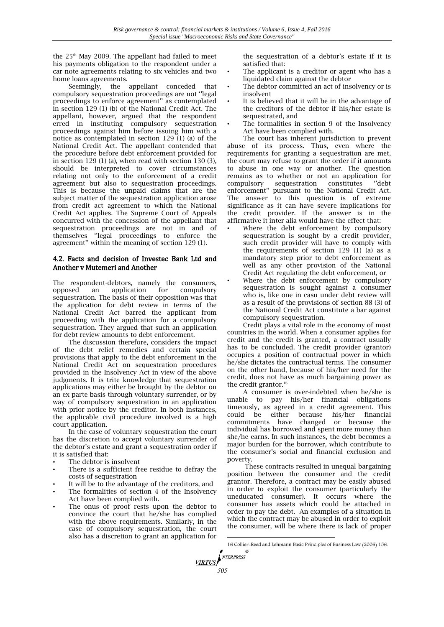the 25th May 2009. The appellant had failed to meet his payments obligation to the respondent under a car note agreements relating to six vehicles and two home loans agreements.

Seemingly, the appellant conceded that compulsory sequestration proceedings are not ''legal proceedings to enforce agreement'' as contemplated in section 129 (1) (b) of the National Credit Act. The appellant, however, argued that the respondent erred in instituting compulsory sequestration proceedings against him before issuing him with a notice as contemplated in section 129 (1) (a) of the National Credit Act. The appellant contended that the procedure before debt enforcement provided for in section 129 (1) (a), when read with section 130 (3), should be interpreted to cover circumstances relating not only to the enforcement of a credit agreement but also to sequestration proceedings. This is because the unpaid claims that are the subject matter of the sequestration application arose from credit act agreement to which the National Credit Act applies. The Supreme Court of Appeals concurred with the concession of the appellant that sequestration proceedings are not in and of themselves ''legal proceedings to enforce the agreement'' within the meaning of section 129 (1).

## 4.2. Facts and decision of Investec Bank Ltd and Another v Mutemeri and Another

The respondent-debtors, namely the consumers, opposed an application for compulsory sequestration. The basis of their opposition was that the application for debt review in terms of the National Credit Act barred the applicant from proceeding with the application for a compulsory sequestration. They argued that such an application for debt review amounts to debt enforcement.

The discussion therefore, considers the impact of the debt relief remedies and certain special provisions that apply to the debt enforcement in the National Credit Act on sequestration procedures provided in the Insolvency Act in view of the above judgments. It is trite knowledge that sequestration applications may either be brought by the debtor on an ex parte basis through voluntary surrender, or by way of compulsory sequestration in an application with prior notice by the creditor. In both instances, the applicable civil procedure involved is a high court application.

In the case of voluntary sequestration the court has the discretion to accept voluntary surrender of the debtor's estate and grant a sequestration order if it is satisfied that:

- The debtor is insolvent
- There is a sufficient free residue to defray the costs of sequestration
- It will be to the advantage of the creditors, and
- The formalities of section 4 of the Insolvency Act have been complied with.
- The onus of proof rests upon the debtor to convince the court that he/she has complied with the above requirements. Similarly, in the case of compulsory sequestration, the court also has a discretion to grant an application for

the sequestration of a debtor's estate if it is satisfied that:

- The applicant is a creditor or agent who has a liquidated claim against the debtor
- The debtor committed an act of insolvency or is insolvent
- It is believed that it will be in the advantage of the creditors of the debtor if his/her estate is sequestrated, and
- The formalities in section 9 of the Insolvency Act have been complied with.

The court has inherent jurisdiction to prevent abuse of its process. Thus, even where the requirements for granting a sequestration are met, the court may refuse to grant the order if it amounts to abuse in one way or another. The question remains as to whether or not an application for compulsory sequestration constitutes ''debt enforcement'' pursuant to the National Credit Act. The answer to this question is of extreme significance as it can have severe implications for the credit provider. If the answer is in the affirmative it inter alia would have the effect that:

- Where the debt enforcement by compulsory sequestration is sought by a credit provider, such credit provider will have to comply with the requirements of section 129 (1) (a) as a mandatory step prior to debt enforcement as well as any other provision of the National Credit Act regulating the debt enforcement, or
- Where the debt enforcement by compulsory sequestration is sought against a consumer who is, like one in casu under debt review will as a result of the provisions of section 88 (3) of the National Credit Act constitute a bar against compulsory sequestration.

Credit plays a vital role in the economy of most countries in the world. When a consumer applies for credit and the credit is granted, a contract usually has to be concluded. The credit provider (grantor) occupies a position of contractual power in which he/she dictates the contractual terms. The consumer on the other hand, because of his/her need for the credit, does not have as much bargaining power as the credit grantor.<sup>16</sup>

A consumer is over-indebted when he/she is unable to pay his/her financial obligations timeously, as agreed in a credit agreement. This could be either because his/her financial commitments have changed or because the individual has borrowed and spent more money than she/he earns. In such instances, the debt becomes a major burden for the borrower, which contribute to the consumer's social and financial exclusion and poverty.

These contracts resulted in unequal bargaining position between the consumer and the credit grantor. Therefore, a contract may be easily abused in order to exploit the consumer (particularly the uneducated consumer). It occurs where the consumer has assets which could be attached in order to pay the debt. An examples of a situation in which the contract may be abused in order to exploit the consumer, will be where there is lack of proper

<sup>16</sup> Collier-Reed and Lehmann Basic Principles of Business Law (2006) 156.



 $\overline{a}$ 

൫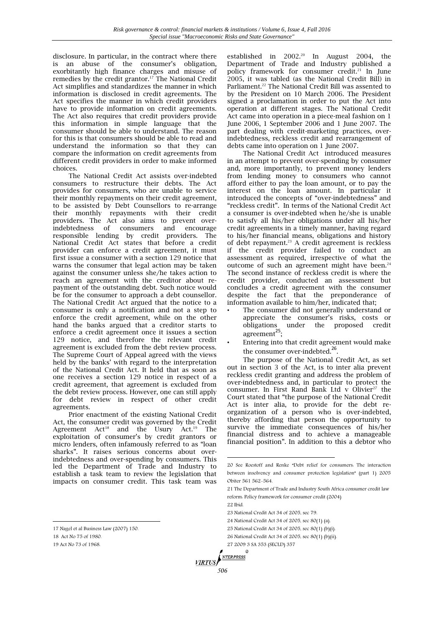disclosure. In particular, in the contract where there is an abuse of the consumer's obligation, exorbitantly high finance charges and misuse of remedies by the credit grantor.<sup>17</sup> The National Credit Act simplifies and standardizes the manner in which information is disclosed in credit agreements. The Act specifies the manner in which credit providers have to provide information on credit agreements. The Act also requires that credit providers provide this information in simple language that the consumer should be able to understand. The reason for this is that consumers should be able to read and understand the information so that they can compare the information on credit agreements from different credit providers in order to make informed choices.

The National Credit Act assists over-indebted consumers to restructure their debts. The Act provides for consumers, who are unable to service their monthly repayments on their credit agreement, to be assisted by Debt Counsellors to re-arrange their monthly repayments with their credit providers. The Act also aims to prevent overindebtedness of consumers and encourage responsible lending by credit providers. The National Credit Act states that before a credit provider can enforce a credit agreement, it must first issue a consumer with a section 129 notice that warns the consumer that legal action may be taken against the consumer unless she/he takes action to reach an agreement with the creditor about repayment of the outstanding debt. Such notice would be for the consumer to approach a debt counsellor. The National Credit Act argued that the notice to a consumer is only a notification and not a step to enforce the credit agreement, while on the other hand the banks argued that a creditor starts to enforce a credit agreement once it issues a section 129 notice, and therefore the relevant credit agreement is excluded from the debt review process. The Supreme Court of Appeal agreed with the views held by the banks' with regard to the interpretation of the National Credit Act. It held that as soon as one receives a section 129 notice in respect of a credit agreement, that agreement is excluded from the debt review process. However, one can still apply for debt review in respect of other credit agreements.

Prior enactment of the existing National Credit Act, the consumer credit was governed by the Credit Agreement  $Act^{18}$  and the Usury  $Act^{19}$  The exploitation of consumer's by credit grantors or micro lenders, often infamously referred to as "loan sharks". It raises serious concerns about overindebtedness and over-spending by consumers. This led the Department of Trade and Industry to establish a task team to review the legislation that impacts on consumer credit. This task team was

 $\overline{\phantom{a}}$ 

established in  $2002.^{20}$  In August  $2004$ , the Department of Trade and Industry published a policy framework for consumer credit.<sup>21</sup> In June 2005, it was tabled (as the National Credit Bill) in Parliament.<sup>22</sup> The National Credit Bill was assented to by the President on 10 March 2006. The President signed a proclamation in order to put the Act into operation at different stages. The National Credit Act came into operation in a piece-meal fashion on 1 June 2006, 1 September 2006 and 1 June 2007. The part dealing with credit-marketing practices, overindebtedness, reckless credit and rearrangement of debts came into operation on 1 June 2007.

The National Credit Act introduced measures in an attempt to prevent over-spending by consumer and, more importantly, to prevent money lenders from lending money to consumers who cannot afford either to pay the loan amount, or to pay the interest on the loan amount. In particular it introduced the concepts of "over-indebtedness" and "reckless credit". In terms of the National Credit Act a consumer is over-indebted when he/she is unable to satisfy all his/her obligations under all his/her credit agreements in a timely manner, having regard to his/her financial means, obligations and history of debt repayment.<sup>23</sup> A credit agreement is reckless if the credit provider failed to conduct an assessment as required, irrespective of what the outcome of such an agreement might have been.<sup>24</sup> The second instance of reckless credit is where the credit provider, conducted an assessment but concludes a credit agreement with the consumer despite the fact that the preponderance of information available to him/her, indicated that;

- The consumer did not generally understand or appreciate the consumer's risks, costs or obligations under the proposed credit agreement<sup>25</sup>;
- Entering into that credit agreement would make the consumer over-indebted.<sup>26</sup>.

The purpose of the National Credit Act, as set out in section 3 of the Act, is to inter alia prevent reckless credit granting and address the problem of over-indebtedness and, in particular to protect the consumer. In First Rand Bank Ltd v Olivier<sup>27</sup> the Court stated that "the purpose of the National Credit Act is inter alia, to provide for the debt reorganization of a person who is over-indebted, thereby affording that person the opportunity to survive the immediate consequences of his/her financial distress and to achieve a manageable financial position". In addition to this a debtor who

- 21 The Department of Trade and Industry South Africa consumer credit law reform: Policy framework for consumer credit (2004)
- 22 Ibid.

-

- 23 National Credit Act 34 of 2005, sec 79.
- 24 National Credit Act 34 of 2005, sec 80(1) (a).
- 25 National Credit Act 34 of 2005, sec 80(1) (b)(i).
- 26 National Credit Act 34 of 2005, sec 80(1) (b)(ii).
- 27 2009 3 SA 353 (SECLD) 357 $\oslash$

**VIRTUS** 

<sup>17</sup> Nagel et al Business Law (2007) 150.

<sup>18</sup> Act No 75 of 1980.

<sup>19</sup> Act No 73 of 1968.

<sup>20</sup> See Roestoff and Renke "Debt relief for consumers: The interaction between insolvency and consumer protection legislation" (part 1) 2005 Obiter 561 562-564.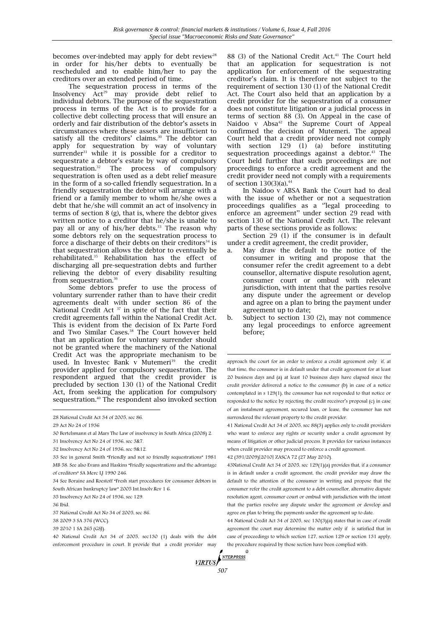becomes over-indebted may apply for debt review<sup>28</sup> in order for his/her debts to eventually be rescheduled and to enable him/her to pay the creditors over an extended period of time.

The sequestration process in terms of the Insolvency  $\overline{A}ct^{29}$  may provide debt relief to individual debtors. The purpose of the sequestration process in terms of the Act is to provide for a collective debt collecting process that will ensure an orderly and fair distribution of the debtor's assets in circumstances where these assets are insufficient to satisfy all the creditors' claims.<sup>30</sup> The debtor can apply for sequestration by way of voluntary surrender<sup>31</sup> while it is possible for a creditor to sequestrate a debtor's estate by way of compulsory sequestration.<sup>32</sup> The process of compulsory The process of compulsory sequestration is often used as a debt relief measure in the form of a so-called friendly sequestration. In a friendly sequestration the debtor will arrange with a friend or a family member to whom he/she owes a debt that he/she will commit an act of insolvency in terms of section 8 (g), that is, where the debtor gives written notice to a creditor that he/she is unable to pay all or any of his/her debts.<sup>33</sup> The reason why some debtors rely on the sequestration process to force a discharge of their debts on their creditors<sup>34</sup> is that sequestration allows the debtor to eventually be rehabilitated.<sup>35</sup> Rehabilitation has the effect of discharging all pre-sequestration debts and further relieving the debtor of every disability resulting from sequestration.<sup>36</sup>

Some debtors prefer to use the process of voluntary surrender rather than to have their credit agreements dealt with under section 86 of the National Credit Act<sup>37</sup> in spite of the fact that their credit agreements fall within the National Credit Act. This is evident from the decision of Ex Parte Ford and Two Similar Cases.<sup>38</sup> The Court however held that an application for voluntary surrender should not be granted where the machinery of the National Credit Act was the appropriate mechanism to be used. In Investec Bank v Mutemeri<sup>39</sup> the credit provider applied for compulsory sequestration. The respondent argued that the credit provider is precluded by section 130 (1) of the National Credit Act, from seeking the application for compulsory sequestration.<sup>40</sup> The respondent also invoked section

 $\overline{a}$ 

88 (3) of the National Credit Act.<sup>41</sup> The Court held that an application for sequestration is not application for enforcement of the sequestrating creditor's claim. It is therefore not subject to the requirement of section 130 (1) of the National Credit Act. The Court also held that an application by a credit provider for the sequestration of a consumer does not constitute litigation or a judicial process in terms of section 88 (3). On Appeal in the case of Naidoo v Absa<sup>42</sup> the Supreme Court of Appeal confirmed the decision of Mutemeri. The appeal Court held that a credit provider need not comply with section 129 (1) (a) before instituting sequestration proceedings against a debtor. $43$  The Court held further that such proceedings are not proceedings to enforce a credit agreement and the credit provider need not comply with a requirements of section  $130(3)(a)$ .<sup>44</sup>

In Naidoo v ABSA Bank the Court had to deal with the issue of whether or not a sequestration proceedings qualifies as a ''legal proceeding to enforce an agreement'' under section 29 read with section 130 of the National Credit Act. The relevant parts of these sections provide as follows:

Section 29 (1) if the consumer is in default under a credit agreement, the credit provider,

- a. May draw the default to the notice of the consumer in writing and propose that the consumer refer the credit agreement to a debt counsellor, alternative dispute resolution agent, consumer court or ombud with relevant jurisdiction, with intent that the parties resolve any dispute under the agreement or develop and agree on a plan to bring the payment under agreement up to date;
- b. Subject to section 130 (2), may not commence any legal proceedings to enforce agreement before;

approach the court for an order to enforce a credit agreement only if, at that time, the consumer is in default under that credit agreement for at least 20 business days and (a) at least 10 business days have elapsed since the credit provider delivered a notice to the consumer (b) in case of a notice contemplated in s 129(1), the consumer has not responded to that notice or responded to the notice by rejecting the credit receiver's proposal (c) in case of an instalment agreement, secured loan, or lease, the consumer has not surrendered the relevant property to the credit provider.

41 National Credit Act 34 of 2005, sec 88(3) applies only to credit providers who want to enforce any rights or security under a credit agreement by means of litigation or other judicial process. It provides for various instances when credit provider may proceed to enforce a credit agreement.

42 (391/2009)[2010] ZASCA 72 (27 May 2010).

43National Credit Act 34 of 2005, sec 129(1)(a) provides that, if a consumer is in default under a credit agreement, the credit provider may draw the default to the attention of the consumer in writing and propose that the consumer refer the credit agreement to a debt counsellor, alternative dispute resolution agent, consumer court or ombud with jurisdiction with the intent that the parties resolve any dispute under the agreement or develop and agree on plan to bring the payments under the agreement up to date.

44 National Credit Act 34 of 2005, sec 130(3)(a) states that in case of credit agreement the court may determine the matter only if is satisfied that in case of proceedings to which section 127, section 129 or section 131 apply, the procedure required by those section have been complied with. $^\circledR$ 

**VIRTUS** *SO7* 

-

<sup>28</sup> National Credit Act 34 of 2005, sec 86.

<sup>29</sup> Act No 24 of 1936

<sup>30</sup> Bertelsmann et al Mars The Law of insolvency in South Africa (2008) 2.

<sup>31</sup> Insolvency Act No 24 of 1936, sec 3&7.

<sup>32</sup> Insolvency Act No 24 of 1936, sec 9&12.

<sup>33</sup> See in general Smith "Friendly and not so friendly sequestrations" 1981 MB 58. See also Evans and Haskins "Friedly sequestrations and the advantage of creditors" SA Merc LJ 1990 246.

<sup>34</sup> See Boraine and Roestoff "Fresh start procedures for consumer debtors in South African bankruptcy law" 2005 Int.Insolv.Rev 1 6.

<sup>35</sup> Insolvency Act No 24 of 1936, sec 129.

<sup>36</sup> Ibid.

<sup>37</sup> National Credit Act No 34 of 2005, sec 86.

<sup>38</sup> 2009 3 SA 376 (WCC).

<sup>39</sup> 2010 1 SA 265 (GSJ).

<sup>40</sup> National Credit Act 34 of 2005, sec130 (1) deals with the debt enforcement procedure in court. It provide that a credit provider may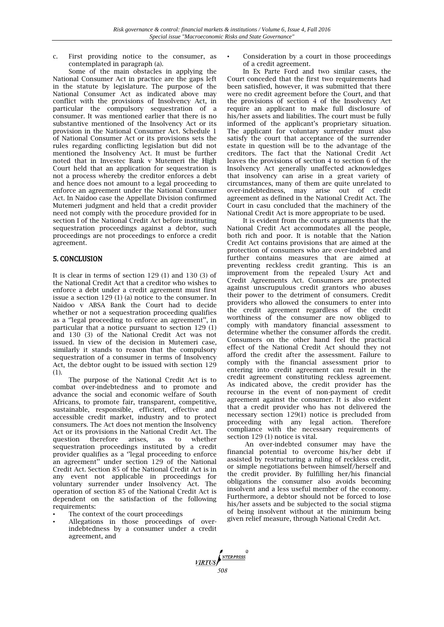c. First providing notice to the consumer, as contemplated in paragraph (a).

Some of the main obstacles in applying the National Consumer Act in practice are the gaps left in the statute by legislature. The purpose of the National Consumer Act as indicated above may conflict with the provisions of Insolvency Act, in particular the compulsory sequestration of a consumer. It was mentioned earlier that there is no substantive mentioned of the Insolvency Act or its provision in the National Consumer Act. Schedule 1 of National Consumer Act or its provisions sets the rules regarding conflicting legislation but did not mentioned the Insolvency Act. It must be further noted that in Investec Bank v Mutemeri the High Court held that an application for sequestration is not a process whereby the creditor enforces a debt and hence does not amount to a legal proceeding to enforce an agreement under the National Consumer Act. In Naidoo case the Appellate Division confirmed Mutemeri judgment and held that a credit provider need not comply with the procedure provided for in section I of the National Credit Act before instituting sequestration proceedings against a debtor, such proceedings are not proceedings to enforce a credit agreement.

## 5. CONCLUSION

It is clear in terms of section 129 (1) and 130 (3) of the National Credit Act that a creditor who wishes to enforce a debt under a credit agreement must first issue a section 129 (1) (a) notice to the consumer. In Naidoo v ABSA Bank the Court had to decide whether or not a sequestration proceeding qualifies as a ''legal proceeding to enforce an agreement'', in particular that a notice pursuant to section 129 (1) and 130 (3) of the National Credit Act was not issued. In view of the decision in Mutemeri case, similarly it stands to reason that the compulsory sequestration of a consumer in terms of Insolvency Act, the debtor ought to be issued with section 129 (1).

The purpose of the National Credit Act is to combat over-indebtedness and to promote and advance the social and economic welfare of South Africans, to promote fair, transparent, competitive, sustainable, responsible, efficient, effective and accessible credit market, industry and to protect consumers. The Act does not mention the Insolvency Act or its provisions in the National Credit Act. The question therefore arises, as to whether sequestration proceedings instituted by a credit provider qualifies as a ''legal proceeding to enforce an agreement'' under section 129 of the National Credit Act. Section 85 of the National Credit Act is in any event not applicable in proceedings for voluntary surrender under Insolvency Act. The operation of section 85 of the National Credit Act is dependent on the satisfaction of the following requirements:

- The context of the court proceedings
- Allegations in those proceedings of overindebtedness by a consumer under a credit agreement, and

• Consideration by a court in those proceedings of a credit agreement.

In Ex Parte Ford and two similar cases, the Court conceded that the first two requirements had been satisfied, however, it was submitted that there were no credit agreement before the Court, and that the provisions of section 4 of the Insolvency Act require an applicant to make full disclosure of his/her assets and liabilities. The court must be fully informed of the applicant's proprietary situation. The applicant for voluntary surrender must also satisfy the court that acceptance of the surrender estate in question will be to the advantage of the creditors. The fact that the National Credit Act leaves the provisions of section 4 to section 6 of the Insolvency Act generally unaffected acknowledges that insolvency can arise in a great variety of circumstances, many of them are quite unrelated to over-indebtedness, may arise out of credit agreement as defined in the National Credit Act. The Court in casu concluded that the machinery of the National Credit Act is more appropriate to be used.

It is evident from the courts arguments that the National Credit Act accommodates all the people, both rich and poor. It is notable that the Nation Credit Act contains provisions that are aimed at the protection of consumers who are over-indebted and further contains measures that are aimed at preventing reckless credit granting. This is an improvement from the repealed Usury Act and Credit Agreements Act. Consumers are protected against unscrupulous credit grantors who abuses their power to the detriment of consumers. Credit providers who allowed the consumers to enter into the credit agreement regardless of the credit worthiness of the consumer are now obliged to comply with mandatory financial assessment to determine whether the consumer affords the credit. Consumers on the other hand feel the practical effect of the National Credit Act should they not afford the credit after the assessment. Failure to comply with the financial assessment prior to entering into credit agreement can result in the credit agreement constituting reckless agreement. As indicated above, the credit provider has the recourse in the event of non-payment of credit agreement against the consumer. It is also evident that a credit provider who has not delivered the necessary section 129(1) notice is precluded from proceeding with any legal action. Therefore compliance with the necessary requirements of section 129 (1) notice is vital.

An over-indebted consumer may have the financial potential to overcome his/her debt if assisted by restructuring a ruling of reckless credit, or simple negotiations between himself/herself and the credit provider. By fulfilling her/his financial obligations the consumer also avoids becoming insolvent and a less useful member of the economy. Furthermore, a debtor should not be forced to lose his/her assets and be subjected to the social stigma of being insolvent without at the minimum being given relief measure, through National Credit Act.

**FIRTUS**